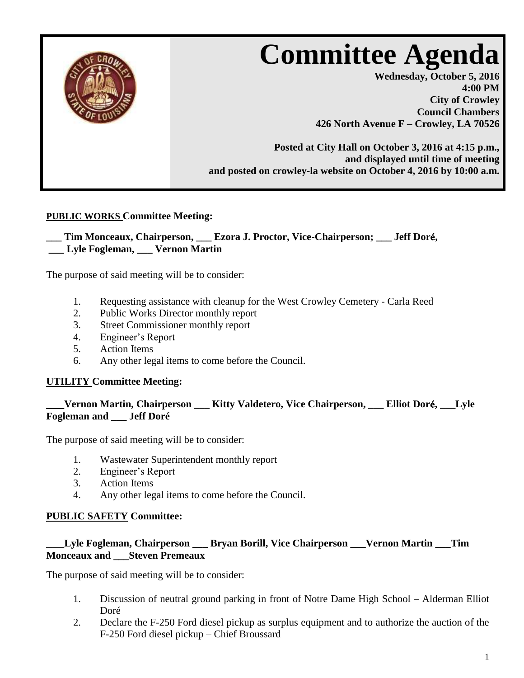

## **PUBLIC WORKS Committee Meeting:**

### **\_\_\_ Tim Monceaux, Chairperson, \_\_\_ Ezora J. Proctor, Vice-Chairperson; \_\_\_ Jeff Dor**é**, \_\_\_ Lyle Fogleman, \_\_\_ Vernon Martin**

The purpose of said meeting will be to consider:

- 1. Requesting assistance with cleanup for the West Crowley Cemetery Carla Reed
- 2. Public Works Director monthly report
- 3. Street Commissioner monthly report
- 4. Engineer's Report
- 5. Action Items
- 6. Any other legal items to come before the Council.

#### **UTILITY Committee Meeting:**

# **\_\_\_Vernon Martin, Chairperson \_\_\_ Kitty Valdetero, Vice Chairperson, \_\_\_ Elliot Dor**é**, \_\_\_Lyle Fogleman and \_\_\_ Jeff Doré**

The purpose of said meeting will be to consider:

- 1. Wastewater Superintendent monthly report
- 2. Engineer's Report
- 3. Action Items
- 4. Any other legal items to come before the Council.

#### **PUBLIC SAFETY Committee:**

## **\_\_\_Lyle Fogleman, Chairperson \_\_\_ Bryan Borill, Vice Chairperson \_\_\_Vernon Martin \_\_\_Tim Monceaux and \_\_\_Steven Premeaux**

The purpose of said meeting will be to consider:

- 1. Discussion of neutral ground parking in front of Notre Dame High School Alderman Elliot Doré
- 2. Declare the F-250 Ford diesel pickup as surplus equipment and to authorize the auction of the F-250 Ford diesel pickup – Chief Broussard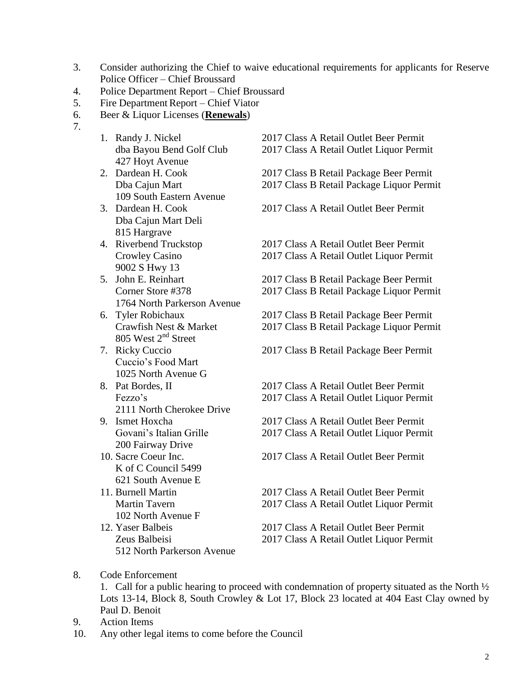- 3. Consider authorizing the Chief to waive educational requirements for applicants for Reserve Police Officer – Chief Broussard
- 4. Police Department Report Chief Broussard
- 5. Fire Department Report Chief Viator
- 6. Beer & Liquor Licenses (**Renewals**)
- 7.
- 427 Hoyt Avenue
- 109 South Eastern Avenue
- Dba Cajun Mart Deli 815 Hargrave
- 9002 S Hwy 13
- 1764 North Parkerson Avenue
- 805 West 2<sup>nd</sup> Street
- Cuccio's Food Mart 1025 North Avenue G
- 2111 North Cherokee Drive<br>9. Ismet Hoxcha
- 200 Fairway Drive
- K of C Council 5499 621 South Avenue E
- 102 North Avenue F 12. Yaser Balbeis 2017 Class A Retail Outlet Beer Permit
- 512 North Parkerson Avenue

1. Randy J. Nickel 2017 Class A Retail Outlet Beer Permit dba Bayou Bend Golf Club 2017 Class A Retail Outlet Liquor Permit 2. Dardean H. Cook 2017 Class B Retail Package Beer Permit Dba Cajun Mart 2017 Class B Retail Package Liquor Permit 3. Dardean H. Cook 2017 Class A Retail Outlet Beer Permit 4. Riverbend Truckstop 2017 Class A Retail Outlet Beer Permit Crowley Casino 2017 Class A Retail Outlet Liquor Permit 5. John E. Reinhart 2017 Class B Retail Package Beer Permit Corner Store #378 2017 Class B Retail Package Liquor Permit 6. Tyler Robichaux 2017 Class B Retail Package Beer Permit Crawfish Nest & Market 2017 Class B Retail Package Liquor Permit 7. Ricky Cuccio 2017 Class B Retail Package Beer Permit 8. Pat Bordes, II 2017 Class A Retail Outlet Beer Permit Fezzo's 2017 Class A Retail Outlet Liquor Permit 2017 Class A Retail Outlet Beer Permit Govani's Italian Grille 2017 Class A Retail Outlet Liquor Permit 10. Sacre Coeur Inc. 2017 Class A Retail Outlet Beer Permit 11. Burnell Martin 2017 Class A Retail Outlet Beer Permit Martin Tavern 2017 Class A Retail Outlet Liquor Permit

- Zeus Balbeisi 2017 Class A Retail Outlet Liquor Permit
- 8. Code Enforcement

1. Call for a public hearing to proceed with condemnation of property situated as the North ½ Lots 13-14, Block 8, South Crowley & Lot 17, Block 23 located at 404 East Clay owned by Paul D. Benoit

- 9. Action Items
- 10. Any other legal items to come before the Council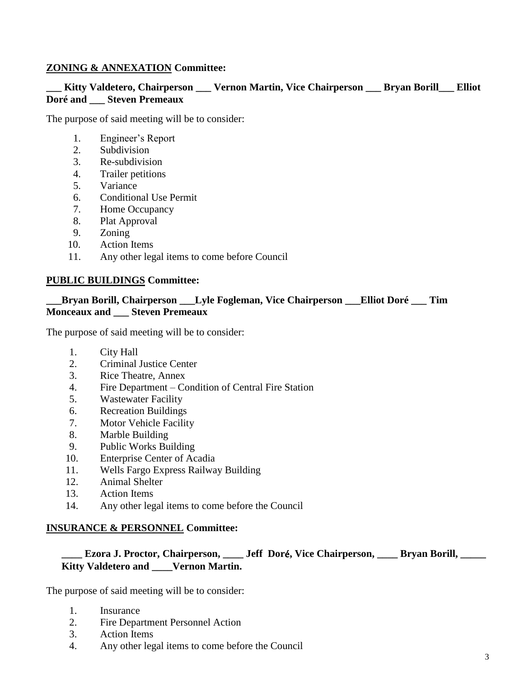### **ZONING & ANNEXATION Committee:**

## **\_\_\_ Kitty Valdetero, Chairperson \_\_\_ Vernon Martin, Vice Chairperson \_\_\_ Bryan Borill\_\_\_ Elliot Doré and \_\_\_ Steven Premeaux**

The purpose of said meeting will be to consider:

- 1. Engineer's Report
- 2. Subdivision
- 3. Re-subdivision
- 4. Trailer petitions
- 5. Variance
- 6. Conditional Use Permit
- 7. Home Occupancy
- 8. Plat Approval
- 9. Zoning
- 10. Action Items
- 11. Any other legal items to come before Council

#### **PUBLIC BUILDINGS Committee:**

#### **\_\_\_Bryan Borill, Chairperson \_\_\_Lyle Fogleman, Vice Chairperson \_\_\_Elliot Doré \_\_\_ Tim Monceaux and \_\_\_ Steven Premeaux**

The purpose of said meeting will be to consider:

- 1. City Hall
- 2. Criminal Justice Center
- 3. Rice Theatre, Annex
- 4. Fire Department Condition of Central Fire Station
- 5. Wastewater Facility
- 6. Recreation Buildings
- 7. Motor Vehicle Facility
- 8. Marble Building
- 9. Public Works Building
- 10. Enterprise Center of Acadia
- 11. Wells Fargo Express Railway Building
- 12. Animal Shelter
- 13. Action Items
- 14. Any other legal items to come before the Council

#### **INSURANCE & PERSONNEL Committee:**

## **\_\_\_\_ Ezora J. Proctor, Chairperson, \_\_\_\_ Jeff Dor**é**, Vice Chairperson, \_\_\_\_ Bryan Borill, \_\_\_\_\_ Kitty Valdetero and \_\_\_\_Vernon Martin.**

The purpose of said meeting will be to consider:

- 1. Insurance
- 2. Fire Department Personnel Action
- 3. Action Items
- 4. Any other legal items to come before the Council